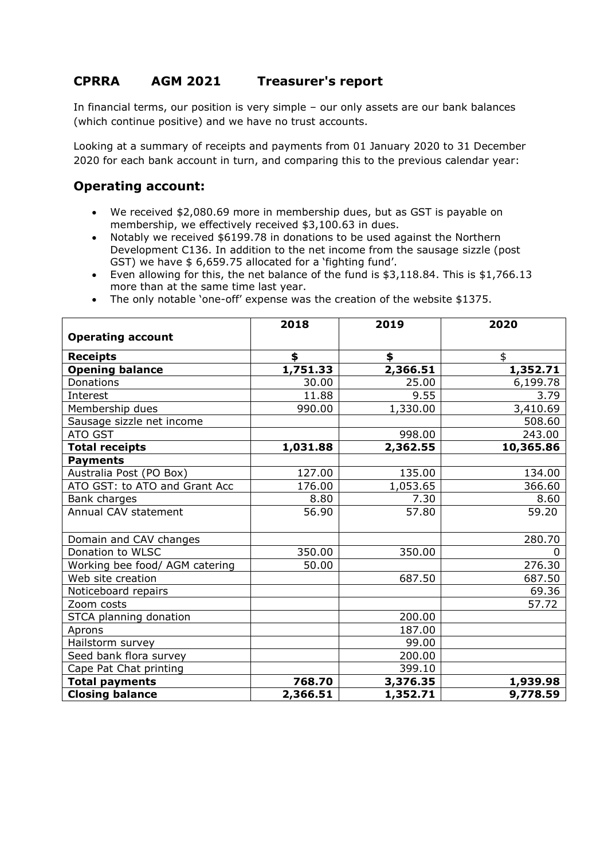## **CPRRA AGM 2021 Treasurer's report**

In financial terms, our position is very simple – our only assets are our bank balances (which continue positive) and we have no trust accounts.

Looking at a summary of receipts and payments from 01 January 2020 to 31 December 2020 for each bank account in turn, and comparing this to the previous calendar year:

## **Operating account:**

- We received \$2,080.69 more in membership dues, but as GST is payable on membership, we effectively received \$3,100.63 in dues.
- Notably we received \$6199.78 in donations to be used against the Northern Development C136. In addition to the net income from the sausage sizzle (post GST) we have \$ 6,659.75 allocated for a 'fighting fund'.
- Even allowing for this, the net balance of the fund is \$3,118.84. This is \$1,766.13 more than at the same time last year.
- The only notable 'one-off' expense was the creation of the website \$1375.

|                                | 2018     | 2019     | 2020      |
|--------------------------------|----------|----------|-----------|
| <b>Operating account</b>       |          |          |           |
| <b>Receipts</b>                | \$       | \$       | \$        |
| <b>Opening balance</b>         | 1,751.33 | 2,366.51 | 1,352.71  |
| <b>Donations</b>               | 30.00    | 25.00    | 6,199.78  |
| Interest                       | 11.88    | 9.55     | 3.79      |
| Membership dues                | 990.00   | 1,330.00 | 3,410.69  |
| Sausage sizzle net income      |          |          | 508.60    |
| ATO GST                        |          | 998.00   | 243.00    |
| <b>Total receipts</b>          | 1,031.88 | 2,362.55 | 10,365.86 |
| <b>Payments</b>                |          |          |           |
| Australia Post (PO Box)        | 127.00   | 135.00   | 134.00    |
| ATO GST: to ATO and Grant Acc  | 176.00   | 1,053.65 | 366.60    |
| Bank charges                   | 8.80     | 7.30     | 8.60      |
| Annual CAV statement           | 56.90    | 57.80    | 59.20     |
|                                |          |          |           |
| Domain and CAV changes         |          |          | 280.70    |
| Donation to WLSC               | 350.00   | 350.00   | $\Omega$  |
| Working bee food/ AGM catering | 50.00    |          | 276.30    |
| Web site creation              |          | 687.50   | 687.50    |
| Noticeboard repairs            |          |          | 69.36     |
| Zoom costs                     |          |          | 57.72     |
| STCA planning donation         |          | 200.00   |           |
| Aprons                         |          | 187.00   |           |
| Hailstorm survey               |          | 99.00    |           |
| Seed bank flora survey         |          | 200.00   |           |
| Cape Pat Chat printing         |          | 399.10   |           |
| <b>Total payments</b>          | 768.70   | 3,376.35 | 1,939.98  |
| <b>Closing balance</b>         | 2,366.51 | 1,352.71 | 9,778.59  |